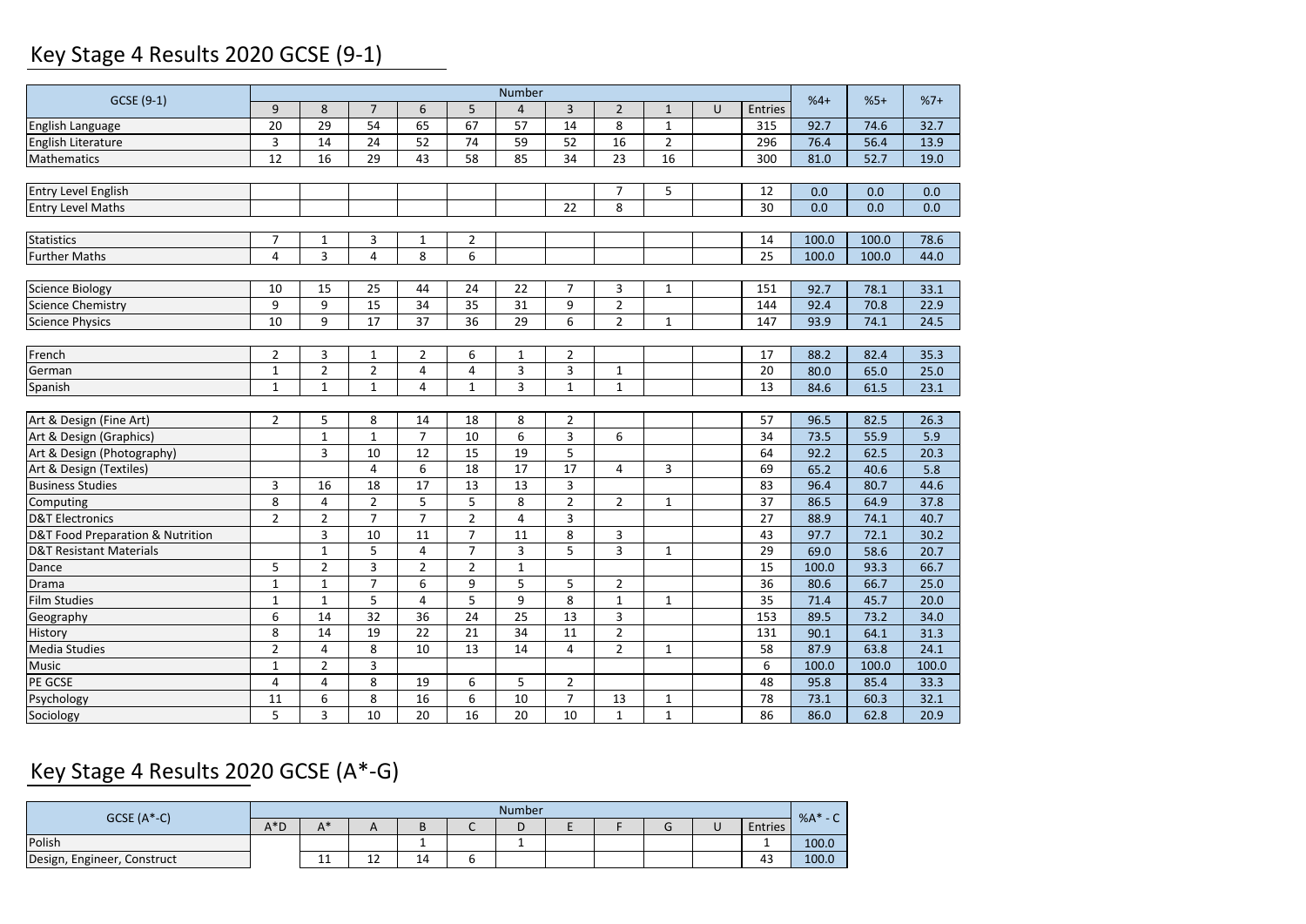## Key Stage 4 Results 2020 GCSE (9‐1)

|                                    |                         | Number         |                 |                 |                 |                 |                |                |                |        |                 |       |       |       |
|------------------------------------|-------------------------|----------------|-----------------|-----------------|-----------------|-----------------|----------------|----------------|----------------|--------|-----------------|-------|-------|-------|
| GCSE (9-1)                         | 9                       | 8              | $\overline{7}$  | 6               | 5               | $\overline{4}$  | $\overline{3}$ | $\overline{2}$ | $\mathbf{1}$   | $\cup$ | Entries         | $%4+$ | $%5+$ | $%7+$ |
| English Language                   | 20                      | 29             | 54              | 65              | 67              | 57              | 14             | 8              | $\mathbf{1}$   |        | 315             | 92.7  | 74.6  | 32.7  |
| English Literature                 | $\overline{\mathbf{3}}$ | 14             | $\overline{24}$ | 52              | $\overline{74}$ | 59              | 52             | 16             | $\overline{2}$ |        | 296             | 76.4  | 56.4  | 13.9  |
| Mathematics                        | 12                      | 16             | 29              | 43              | 58              | 85              | 34             | 23             | 16             |        | 300             | 81.0  | 52.7  | 19.0  |
|                                    |                         |                |                 |                 |                 |                 |                |                |                |        |                 |       |       |       |
| <b>Entry Level English</b>         |                         |                |                 |                 |                 |                 |                | $\overline{7}$ | 5              |        | 12              | 0.0   | 0.0   | 0.0   |
| <b>Entry Level Maths</b>           |                         |                |                 |                 |                 |                 | 22             | 8              |                |        | 30              | 0.0   | 0.0   | 0.0   |
|                                    |                         |                |                 |                 |                 |                 |                |                |                |        |                 |       |       |       |
| <b>Statistics</b>                  | $\overline{7}$          | 1              | 3               | $\mathbf{1}$    | $\overline{2}$  |                 |                |                |                |        | 14              | 100.0 | 100.0 | 78.6  |
| <b>Further Maths</b>               | $\sqrt{4}$              | 3              | $\overline{4}$  | 8               | 6               |                 |                |                |                |        | 25              | 100.0 | 100.0 | 44.0  |
|                                    |                         |                |                 |                 |                 |                 |                |                |                |        |                 |       |       |       |
| <b>Science Biology</b>             | 10                      | 15             | 25              | 44              | 24              | 22              | $\overline{7}$ | 3              | 1              |        | 151             | 92.7  | 78.1  | 33.1  |
| <b>Science Chemistry</b>           | 9                       | 9              | 15              | 34              | 35              | 31              | 9              | $\overline{2}$ |                |        | 144             | 92.4  | 70.8  | 22.9  |
| <b>Science Physics</b>             | 10                      | 9              | 17              | $\overline{37}$ | 36              | 29              | 6              | $\overline{2}$ | $\mathbf{1}$   |        | 147             | 93.9  | 74.1  | 24.5  |
|                                    |                         |                |                 |                 |                 |                 |                |                |                |        |                 |       |       |       |
| French                             | $\overline{2}$          | 3              | $\mathbf{1}$    | $\overline{2}$  | 6               | 1               | $\overline{2}$ |                |                |        | 17              | 88.2  | 82.4  | 35.3  |
| German                             | $1\,$                   | $\overline{2}$ | $\overline{2}$  | $\overline{4}$  | $\overline{4}$  | 3               | 3              | $\mathbf 1$    |                |        | 20              | 80.0  | 65.0  | 25.0  |
| Spanish                            | $\mathbf 1$             | $\mathbf{1}$   | $\mathbf{1}$    | 4               | $\mathbf{1}$    | 3               | $\mathbf{1}$   | $\mathbf{1}$   |                |        | 13              | 84.6  | 61.5  | 23.1  |
|                                    |                         |                |                 |                 |                 |                 |                |                |                |        |                 |       |       |       |
| Art & Design (Fine Art)            | $\overline{2}$          | 5              | 8               | 14              | 18              | 8               | $\overline{2}$ |                |                |        | 57              | 96.5  | 82.5  | 26.3  |
| Art & Design (Graphics)            |                         | $\mathbf{1}$   | $\mathbf{1}$    | $\overline{7}$  | 10              | 6               | $\overline{3}$ | 6              |                |        | 34              | 73.5  | 55.9  | 5.9   |
| Art & Design (Photography)         |                         | $\overline{3}$ | 10              | 12              | 15              | 19              | 5              |                |                |        | 64              | 92.2  | 62.5  | 20.3  |
| Art & Design (Textiles)            |                         |                | $\overline{4}$  | 6               | 18              | 17              | 17             | 4              | 3              |        | 69              | 65.2  | 40.6  | 5.8   |
| <b>Business Studies</b>            | 3                       | 16             | 18              | 17              | 13              | 13              | 3              |                |                |        | 83              | 96.4  | 80.7  | 44.6  |
| Computing                          | 8                       | $\overline{4}$ | $\overline{2}$  | 5               | 5               | 8               | $\overline{2}$ | $\overline{2}$ | $\mathbf{1}$   |        | 37              | 86.5  | 64.9  | 37.8  |
| <b>D&amp;T Electronics</b>         | $\overline{2}$          | $\overline{2}$ | $\overline{7}$  | $\overline{7}$  | $\overline{2}$  | $\overline{4}$  | $\overline{3}$ |                |                |        | 27              | 88.9  | 74.1  | 40.7  |
| D&T Food Preparation & Nutrition   |                         | $\overline{3}$ | 10              | $\overline{11}$ | $\overline{7}$  | $\overline{11}$ | $\overline{8}$ | 3              |                |        | 43              | 97.7  | 72.1  | 30.2  |
| <b>D&amp;T Resistant Materials</b> |                         | $\mathbf 1$    | 5               | 4               | $\overline{7}$  | 3               | 5              | 3              | $\mathbf{1}$   |        | 29              | 69.0  | 58.6  | 20.7  |
| Dance                              | 5                       | $\mathbf 2$    | 3               | $\overline{2}$  | $\overline{2}$  | $\mathbf{1}$    |                |                |                |        | 15              | 100.0 | 93.3  | 66.7  |
| Drama                              | $\mathbf{1}$            | $\mathbf{1}$   | $\overline{7}$  | 6               | 9               | 5               | 5              | $\overline{2}$ |                |        | 36              | 80.6  | 66.7  | 25.0  |
| <b>Film Studies</b>                | $1\,$                   | $\mathbf{1}$   | 5               | 4               | 5               | 9               | 8              | $\mathbf{1}$   | $\mathbf{1}$   |        | 35              | 71.4  | 45.7  | 20.0  |
| Geography                          | 6                       | 14             | 32              | 36              | 24              | 25              | 13             | 3              |                |        | 153             | 89.5  | 73.2  | 34.0  |
| History                            | $\overline{\bf 8}$      | 14             | 19              | $\overline{22}$ | 21              | 34              | 11             | $\overline{2}$ |                |        | 131             | 90.1  | 64.1  | 31.3  |
| <b>Media Studies</b>               | $\overline{2}$          | 4              | 8               | 10              | 13              | 14              | 4              | $\overline{2}$ | $\mathbf{1}$   |        | 58              | 87.9  | 63.8  | 24.1  |
| <b>Music</b>                       | $\mathbf{1}$            | $\overline{2}$ | 3               |                 |                 |                 |                |                |                |        | 6               | 100.0 | 100.0 | 100.0 |
| PE GCSE                            | $\overline{4}$          | $\overline{4}$ | 8               | 19              | 6               | 5               | $\overline{2}$ |                |                |        | 48              | 95.8  | 85.4  | 33.3  |
| Psychology                         | 11                      | 6              | 8               | 16              | 6               | 10              | $\overline{7}$ | 13             | 1              |        | $\overline{78}$ | 73.1  | 60.3  | 32.1  |
| Sociology                          | 5                       | 3              | 10              | 20              | 16              | 20              | 10             | $\mathbf{1}$   | $\mathbf{1}$   |        | 86              | 86.0  | 62.8  | 20.9  |

# Key Stage 4 Results 2020 GCSE (A\*‐G)

| $GCSE (A*-C)$               |        | <b>Number</b>     |              |    |        |  |  |  |  |  |         |                    |  |
|-----------------------------|--------|-------------------|--------------|----|--------|--|--|--|--|--|---------|--------------------|--|
|                             | $A^*D$ | ∧*                | $\sqrt{ }$   | ь  | $\sim$ |  |  |  |  |  | Entries | $%A*$<br>$\sim$ 0. |  |
| Polish                      |        |                   |              |    |        |  |  |  |  |  |         | 100.0              |  |
| Design, Engineer, Construct |        | . .<br><b>. .</b> | $\sim$<br>ΤT | 14 |        |  |  |  |  |  | 43      | 100.0              |  |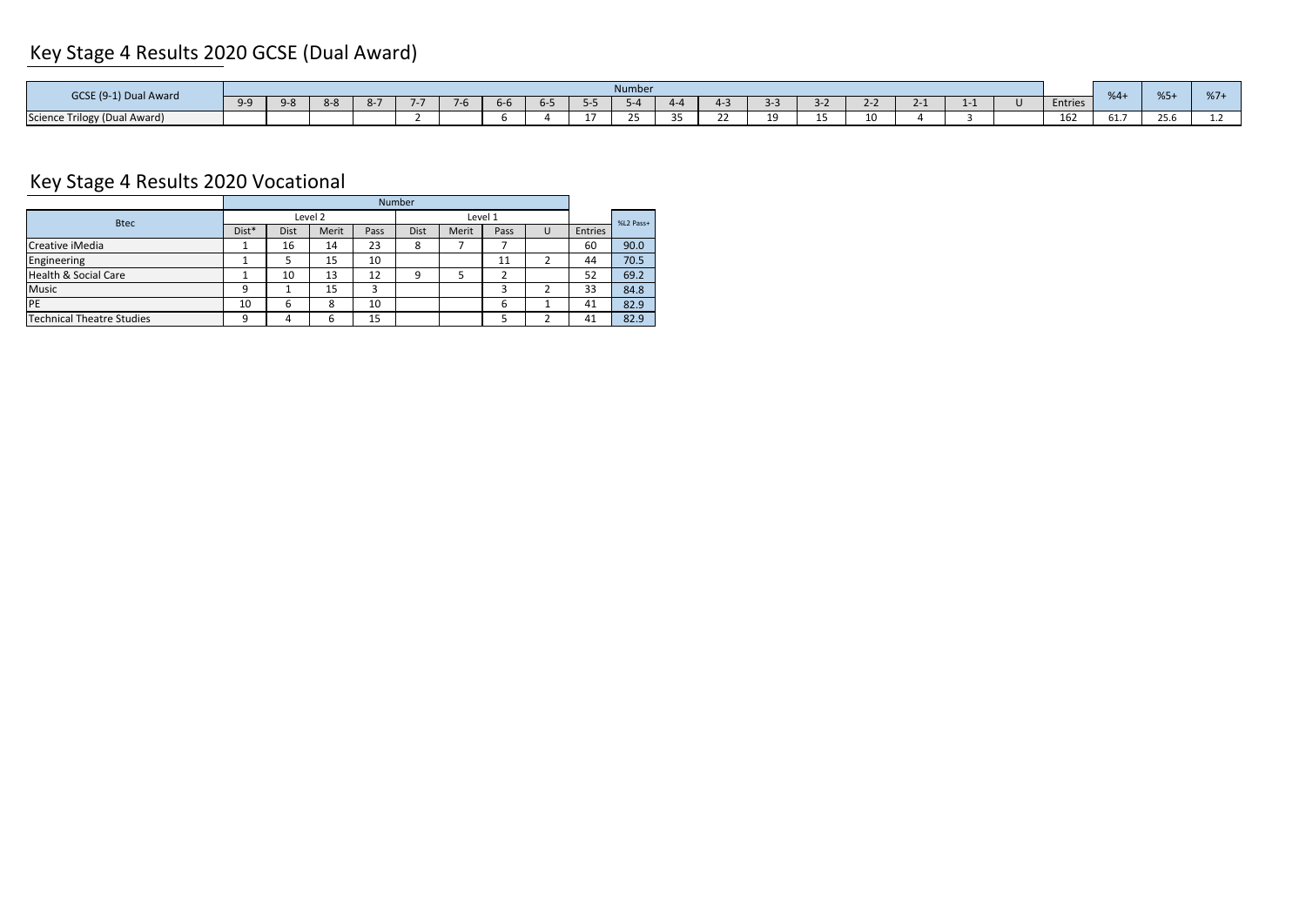## Key Stage 4 Results 2020 GCSE (Dual Award)

| Number<br>GCSE (9-1) Dual Award |  |               |     |  |              |         |       |     |  |                           |  |    |            | $%5+$<br>$%4+$ | 0/7 |  |         |      |                       |     |
|---------------------------------|--|---------------|-----|--|--------------|---------|-------|-----|--|---------------------------|--|----|------------|----------------|-----|--|---------|------|-----------------------|-----|
|                                 |  | $Q-S$<br>ັບ ບ | 8-ö |  | $\mathbf{v}$ | $I - M$ | $h-b$ | ∽-∽ |  |                           |  |    |            | - -            |     |  | Entries |      |                       | 701 |
| Science Trilogy (Dual Award)    |  |               |     |  |              |         |       |     |  | $\sim$ $\sim$<br><u>_</u> |  | -- | 10.<br>--- |                |     |  | 162     | 61.7 | $\sim$ $\sim$<br>25.b |     |

## Key Stage 4 Results 2020 Vocational

| <b>Number</b> |      |              |         |      |       |      |           |         |      |  |  |
|---------------|------|--------------|---------|------|-------|------|-----------|---------|------|--|--|
|               |      |              |         |      |       |      | %L2 Pass+ |         |      |  |  |
| Dist*         | Dist | Merit        | Pass    | Dist | Merit | Pass | U         | Entries |      |  |  |
|               | 16   | 14           | 23      | 8    |       |      |           | 60      | 90.0 |  |  |
|               |      | 15           | 10      |      |       | 11   |           | 44      | 70.5 |  |  |
|               | 10   | 13           | 12      | q    |       |      |           | 52      | 69.2 |  |  |
| 9             |      | 15           | 3       |      |       | ∍    |           | 33      | 84.8 |  |  |
| 10            | 6    | $\circ$<br>ŏ | 10      |      |       | 6    |           | 41      | 82.9 |  |  |
| q             |      | ь            | 15      |      |       |      |           | 41      | 82.9 |  |  |
|               |      |              | Level 2 |      |       |      | Level 1   |         |      |  |  |